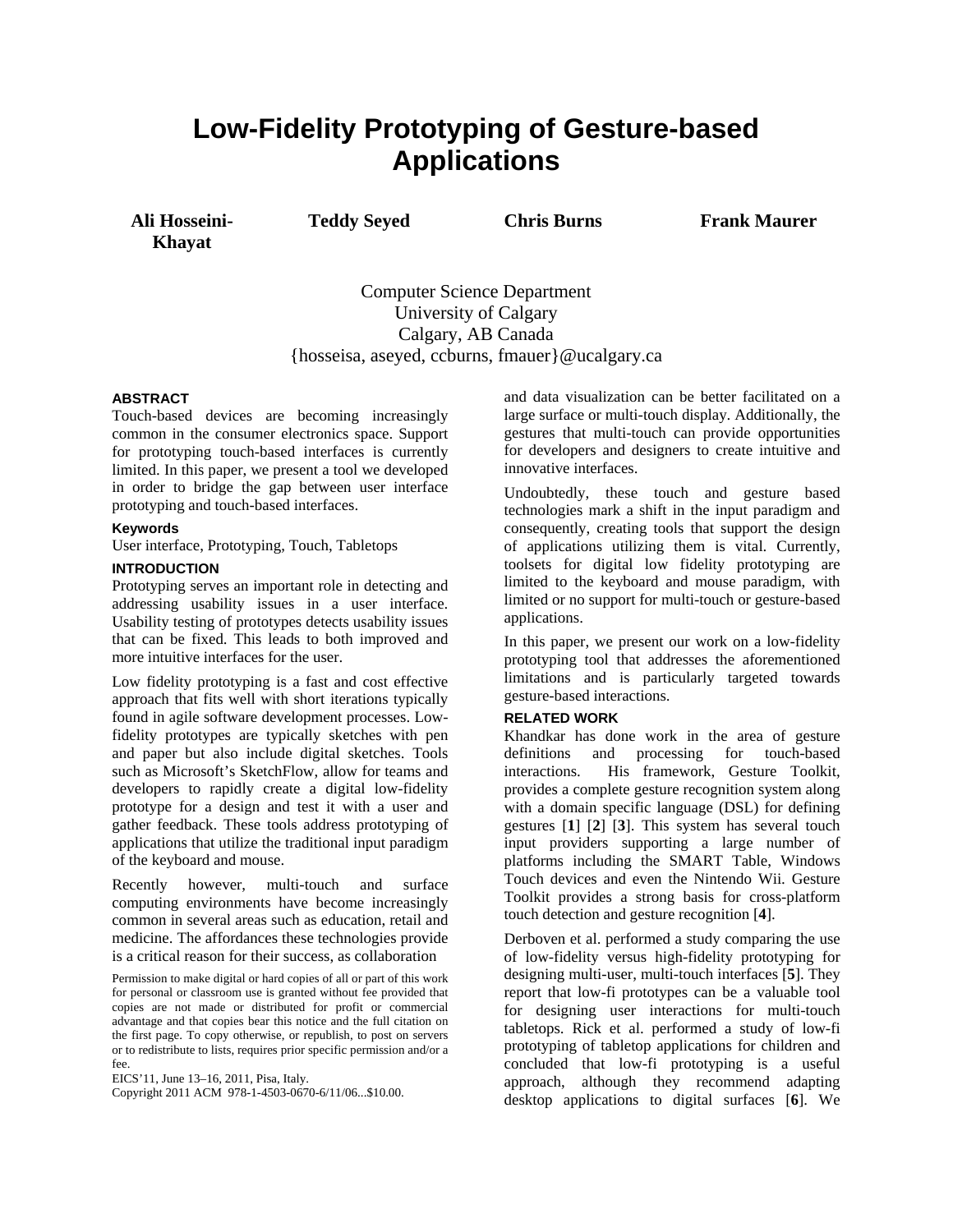# **Low-Fidelity Prototyping of Gesture-based Applications**

**Ali Hosseini-Khayat** 

**Teddy Seyed Chris Burns Frank Maurer** 

Computer Science Department University of Calgary Calgary, AB Canada {hosseisa, aseyed, ccburns, fmauer}@ucalgary.ca

#### **ABSTRACT**

Touch-based devices are becoming increasingly common in the consumer electronics space. Support for prototyping touch-based interfaces is currently limited. In this paper, we present a tool we developed in order to bridge the gap between user interface prototyping and touch-based interfaces.

#### **Keywords**

User interface, Prototyping, Touch, Tabletops

#### **INTRODUCTION**

Prototyping serves an important role in detecting and addressing usability issues in a user interface. Usability testing of prototypes detects usability issues that can be fixed. This leads to both improved and more intuitive interfaces for the user.

Low fidelity prototyping is a fast and cost effective approach that fits well with short iterations typically found in agile software development processes. Lowfidelity prototypes are typically sketches with pen and paper but also include digital sketches. Tools such as Microsoft's SketchFlow, allow for teams and developers to rapidly create a digital low-fidelity prototype for a design and test it with a user and gather feedback. These tools address prototyping of applications that utilize the traditional input paradigm of the keyboard and mouse.

Recently however, multi-touch and surface computing environments have become increasingly common in several areas such as education, retail and medicine. The affordances these technologies provide is a critical reason for their success, as collaboration

Permission to make digital or hard copies of all or part of this work for personal or classroom use is granted without fee provided that copies are not made or distributed for profit or commercial advantage and that copies bear this notice and the full citation on the first page. To copy otherwise, or republish, to post on servers or to redistribute to lists, requires prior specific permission and/or a fee.

EICS'11, June 13–16, 2011, Pisa, Italy.

Copyright 2011 ACM 978-1-4503-0670-6/11/06...\$10.00.

and data visualization can be better facilitated on a large surface or multi-touch display. Additionally, the gestures that multi-touch can provide opportunities for developers and designers to create intuitive and innovative interfaces.

Undoubtedly, these touch and gesture based technologies mark a shift in the input paradigm and consequently, creating tools that support the design of applications utilizing them is vital. Currently, toolsets for digital low fidelity prototyping are limited to the keyboard and mouse paradigm, with limited or no support for multi-touch or gesture-based applications.

In this paper, we present our work on a low-fidelity prototyping tool that addresses the aforementioned limitations and is particularly targeted towards gesture-based interactions.

### **RELATED WORK**

Khandkar has done work in the area of gesture definitions and processing for touch-based interactions. His framework, Gesture Toolkit, provides a complete gesture recognition system along with a domain specific language (DSL) for defining gestures [**1**] [**2**] [**3**]. This system has several touch input providers supporting a large number of platforms including the SMART Table, Windows Touch devices and even the Nintendo Wii. Gesture Toolkit provides a strong basis for cross-platform touch detection and gesture recognition [**4**].

Derboven et al. performed a study comparing the use of low-fidelity versus high-fidelity prototyping for designing multi-user, multi-touch interfaces [**5**]. They report that low-fi prototypes can be a valuable tool for designing user interactions for multi-touch tabletops. Rick et al. performed a study of low-fi prototyping of tabletop applications for children and concluded that low-fi prototyping is a useful approach, although they recommend adapting desktop applications to digital surfaces [**6**]. We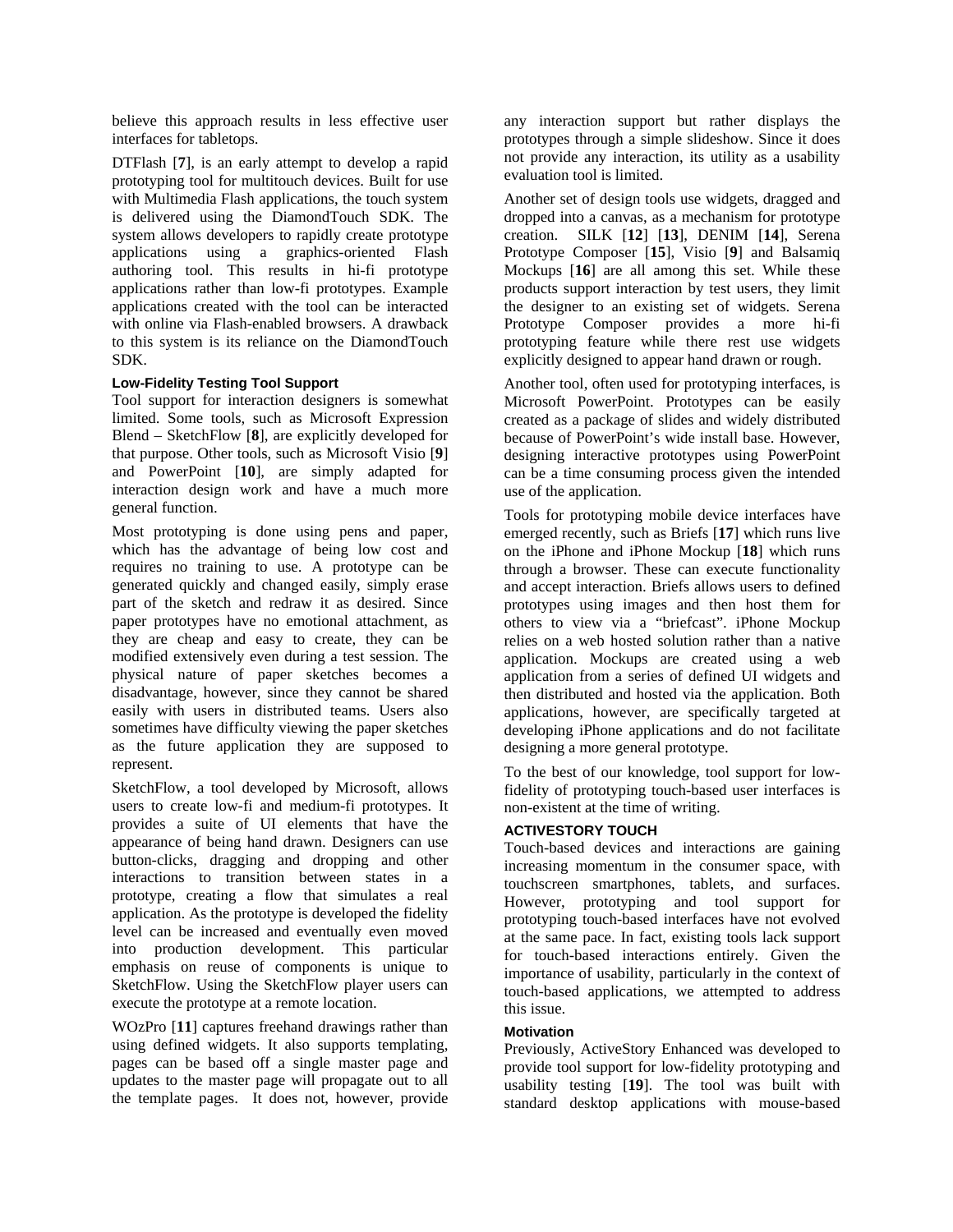believe this approach results in less effective user interfaces for tabletops.

DTFlash [**7**], is an early attempt to develop a rapid prototyping tool for multitouch devices. Built for use with Multimedia Flash applications, the touch system is delivered using the DiamondTouch SDK. The system allows developers to rapidly create prototype applications using a graphics-oriented Flash authoring tool. This results in hi-fi prototype applications rather than low-fi prototypes. Example applications created with the tool can be interacted with online via Flash-enabled browsers. A drawback to this system is its reliance on the DiamondTouch SDK.

# **Low-Fidelity Testing Tool Support**

Tool support for interaction designers is somewhat limited. Some tools, such as Microsoft Expression Blend – SketchFlow [**8**], are explicitly developed for that purpose. Other tools, such as Microsoft Visio [**9**] and PowerPoint [**10**], are simply adapted for interaction design work and have a much more general function.

Most prototyping is done using pens and paper, which has the advantage of being low cost and requires no training to use. A prototype can be generated quickly and changed easily, simply erase part of the sketch and redraw it as desired. Since paper prototypes have no emotional attachment, as they are cheap and easy to create, they can be modified extensively even during a test session. The physical nature of paper sketches becomes a disadvantage, however, since they cannot be shared easily with users in distributed teams. Users also sometimes have difficulty viewing the paper sketches as the future application they are supposed to represent.

SketchFlow, a tool developed by Microsoft, allows users to create low-fi and medium-fi prototypes. It provides a suite of UI elements that have the appearance of being hand drawn. Designers can use button-clicks, dragging and dropping and other interactions to transition between states in a prototype, creating a flow that simulates a real application. As the prototype is developed the fidelity level can be increased and eventually even moved into production development. This particular emphasis on reuse of components is unique to SketchFlow. Using the SketchFlow player users can execute the prototype at a remote location.

WOzPro [**11**] captures freehand drawings rather than using defined widgets. It also supports templating, pages can be based off a single master page and updates to the master page will propagate out to all the template pages. It does not, however, provide

any interaction support but rather displays the prototypes through a simple slideshow. Since it does not provide any interaction, its utility as a usability evaluation tool is limited.

Another set of design tools use widgets, dragged and dropped into a canvas, as a mechanism for prototype creation. SILK [**12**] [**13**], DENIM [**14**], Serena Prototype Composer [**15**], Visio [**9**] and Balsamiq Mockups [**16**] are all among this set. While these products support interaction by test users, they limit the designer to an existing set of widgets. Serena Prototype Composer provides a more hi-fi prototyping feature while there rest use widgets explicitly designed to appear hand drawn or rough.

Another tool, often used for prototyping interfaces, is Microsoft PowerPoint. Prototypes can be easily created as a package of slides and widely distributed because of PowerPoint's wide install base. However, designing interactive prototypes using PowerPoint can be a time consuming process given the intended use of the application.

Tools for prototyping mobile device interfaces have emerged recently, such as Briefs [**17**] which runs live on the iPhone and iPhone Mockup [**18**] which runs through a browser. These can execute functionality and accept interaction. Briefs allows users to defined prototypes using images and then host them for others to view via a "briefcast". iPhone Mockup relies on a web hosted solution rather than a native application. Mockups are created using a web application from a series of defined UI widgets and then distributed and hosted via the application. Both applications, however, are specifically targeted at developing iPhone applications and do not facilitate designing a more general prototype.

To the best of our knowledge, tool support for lowfidelity of prototyping touch-based user interfaces is non-existent at the time of writing.

# **ACTIVESTORY TOUCH**

Touch-based devices and interactions are gaining increasing momentum in the consumer space, with touchscreen smartphones, tablets, and surfaces. However, prototyping and tool support for prototyping touch-based interfaces have not evolved at the same pace. In fact, existing tools lack support for touch-based interactions entirely. Given the importance of usability, particularly in the context of touch-based applications, we attempted to address this issue.

# **Motivation**

Previously, ActiveStory Enhanced was developed to provide tool support for low-fidelity prototyping and usability testing [**19**]. The tool was built with standard desktop applications with mouse-based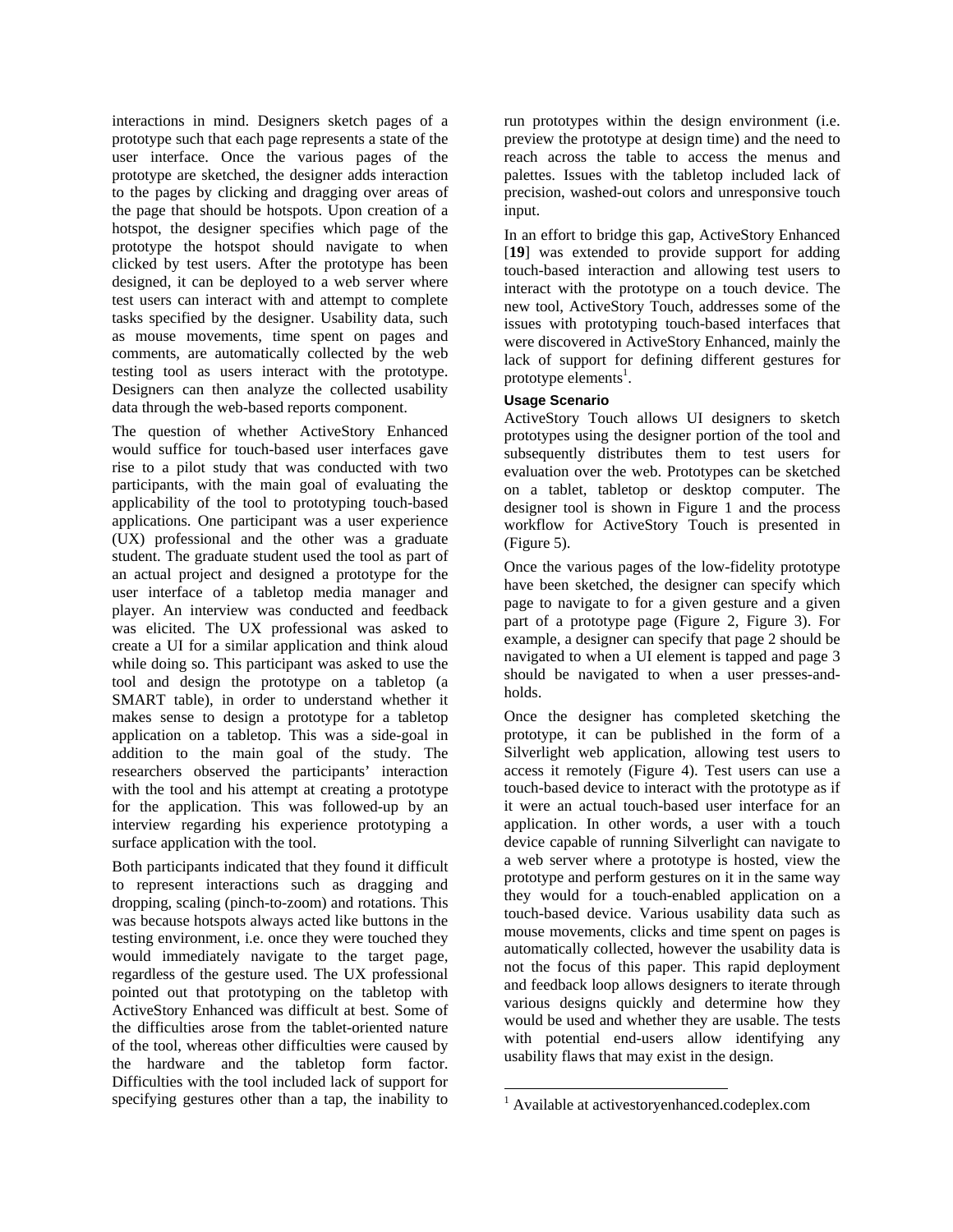interactions in mind. Designers sketch pages of a prototype such that each page represents a state of the user interface. Once the various pages of the prototype are sketched, the designer adds interaction to the pages by clicking and dragging over areas of the page that should be hotspots. Upon creation of a hotspot, the designer specifies which page of the prototype the hotspot should navigate to when clicked by test users. After the prototype has been designed, it can be deployed to a web server where test users can interact with and attempt to complete tasks specified by the designer. Usability data, such as mouse movements, time spent on pages and comments, are automatically collected by the web testing tool as users interact with the prototype. Designers can then analyze the collected usability data through the web-based reports component.

The question of whether ActiveStory Enhanced would suffice for touch-based user interfaces gave rise to a pilot study that was conducted with two participants, with the main goal of evaluating the applicability of the tool to prototyping touch-based applications. One participant was a user experience (UX) professional and the other was a graduate student. The graduate student used the tool as part of an actual project and designed a prototype for the user interface of a tabletop media manager and player. An interview was conducted and feedback was elicited. The UX professional was asked to create a UI for a similar application and think aloud while doing so. This participant was asked to use the tool and design the prototype on a tabletop (a SMART table), in order to understand whether it makes sense to design a prototype for a tabletop application on a tabletop. This was a side-goal in addition to the main goal of the study. The researchers observed the participants' interaction with the tool and his attempt at creating a prototype for the application. This was followed-up by an interview regarding his experience prototyping a surface application with the tool.

Both participants indicated that they found it difficult to represent interactions such as dragging and dropping, scaling (pinch-to-zoom) and rotations. This was because hotspots always acted like buttons in the testing environment, i.e. once they were touched they would immediately navigate to the target page, regardless of the gesture used. The UX professional pointed out that prototyping on the tabletop with ActiveStory Enhanced was difficult at best. Some of the difficulties arose from the tablet-oriented nature of the tool, whereas other difficulties were caused by the hardware and the tabletop form factor. Difficulties with the tool included lack of support for specifying gestures other than a tap, the inability to

run prototypes within the design environment (i.e. preview the prototype at design time) and the need to reach across the table to access the menus and palettes. Issues with the tabletop included lack of precision, washed-out colors and unresponsive touch input.

In an effort to bridge this gap, ActiveStory Enhanced [**19**] was extended to provide support for adding touch-based interaction and allowing test users to interact with the prototype on a touch device. The new tool, ActiveStory Touch, addresses some of the issues with prototyping touch-based interfaces that were discovered in ActiveStory Enhanced, mainly the lack of support for defining different gestures for prototype elements<sup>1</sup>.

### **Usage Scenario**

ActiveStory Touch allows UI designers to sketch prototypes using the designer portion of the tool and subsequently distributes them to test users for evaluation over the web. Prototypes can be sketched on a tablet, tabletop or desktop computer. The designer tool is shown in Figure 1 and the process workflow for ActiveStory Touch is presented in (Figure 5).

Once the various pages of the low-fidelity prototype have been sketched, the designer can specify which page to navigate to for a given gesture and a given part of a prototype page (Figure 2, Figure 3). For example, a designer can specify that page 2 should be navigated to when a UI element is tapped and page 3 should be navigated to when a user presses-andholds.

Once the designer has completed sketching the prototype, it can be published in the form of a Silverlight web application, allowing test users to access it remotely (Figure 4). Test users can use a touch-based device to interact with the prototype as if it were an actual touch-based user interface for an application. In other words, a user with a touch device capable of running Silverlight can navigate to a web server where a prototype is hosted, view the prototype and perform gestures on it in the same way they would for a touch-enabled application on a touch-based device. Various usability data such as mouse movements, clicks and time spent on pages is automatically collected, however the usability data is not the focus of this paper. This rapid deployment and feedback loop allows designers to iterate through various designs quickly and determine how they would be used and whether they are usable. The tests with potential end-users allow identifying any usability flaws that may exist in the design.

 $\overline{a}$ 

<sup>&</sup>lt;sup>1</sup> Available at activestoryenhanced.codeplex.com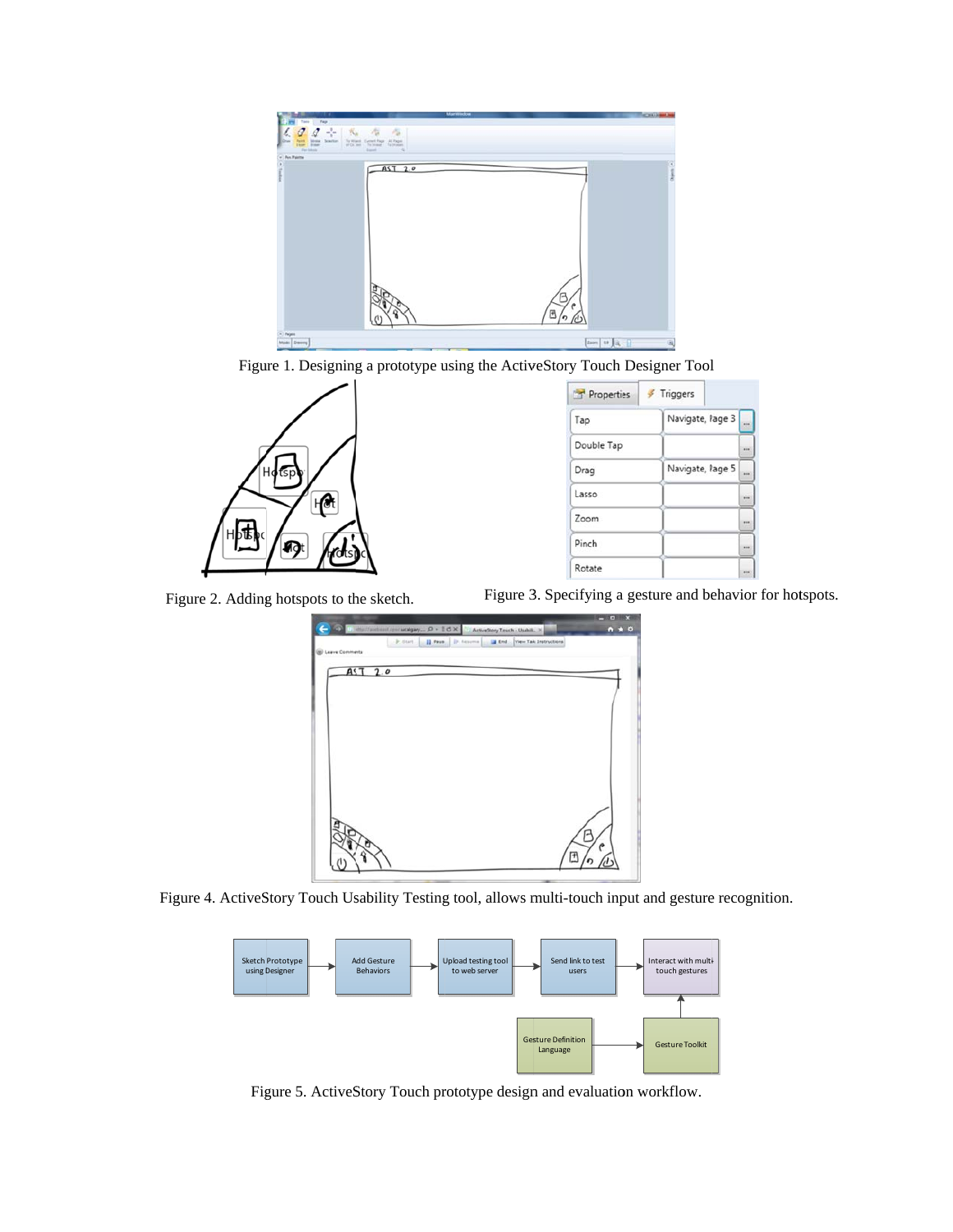

Figure 1. Designing a prototype using the ActiveStory Touch Designer Tool



| Properties | Triggers         |            |
|------------|------------------|------------|
| Tap        | Navigate, Page 3 | <b>ALL</b> |
| Double Tap |                  | $***$      |
| Drag       | Navigate, Page 5 | in.        |
| Lasso      |                  | 848        |
| Zoom       |                  | $***$      |
| Pinch      |                  | <b>ANK</b> |
| Rotate     |                  |            |

Figure 2. Adding hotspots to the sketch.

Figure 3 3. Specifying a a gesture and be ehavior for hotspots.<br>
<br>
Precognition.



Figure 4. ActiveStory Touch Usability Testing tool, allows multi-touch input and gesture recognition.



Figure 5. ActiveStory Touch prototype design and evaluation workflow.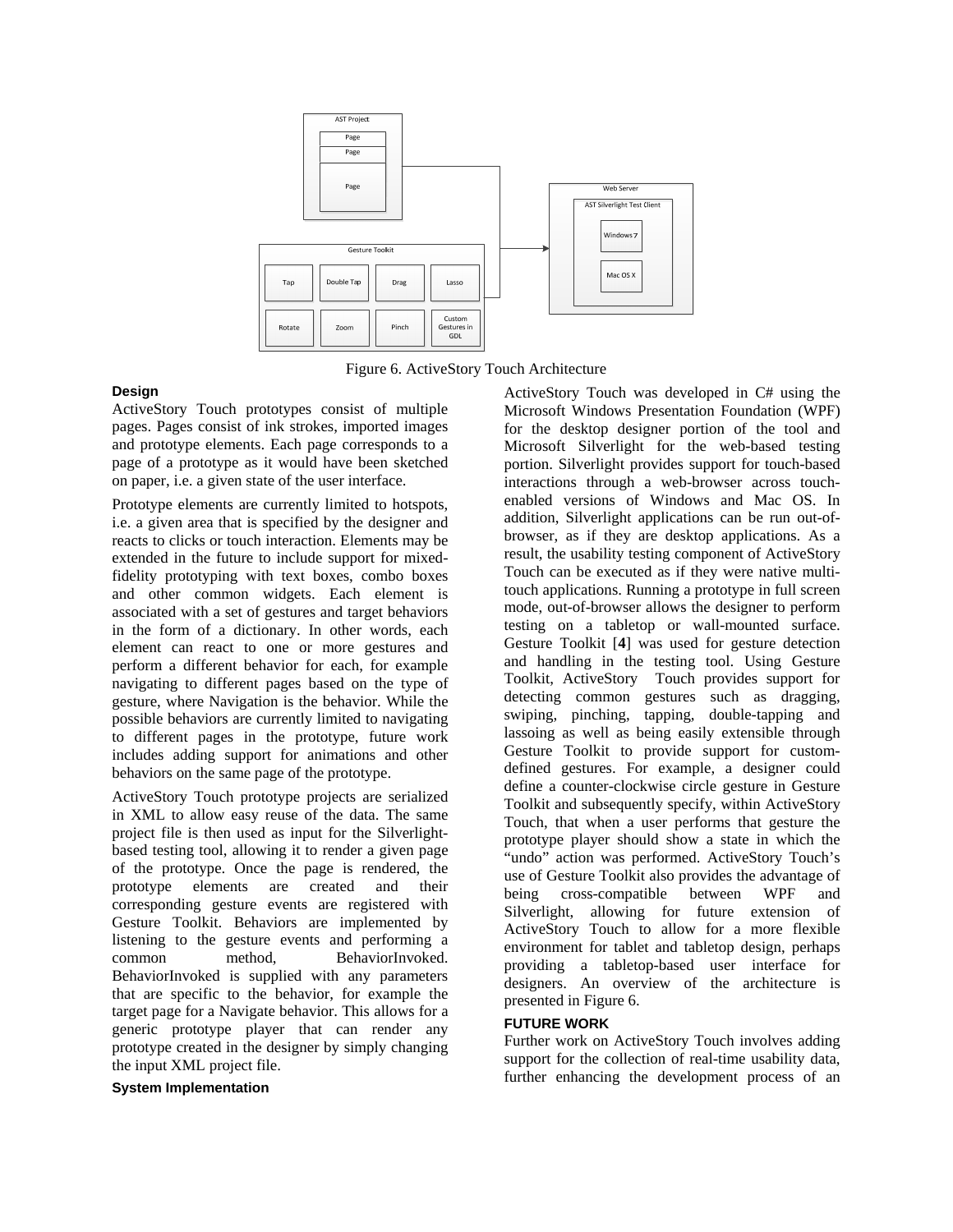

Figure 6. ActiveStory Touch Architecture

#### **Design**

ActiveStory Touch prototypes consist of multiple pages. Pages consist of ink strokes, imported images and prototype elements. Each page corresponds to a page of a prototype as it would have been sketched on paper, i.e. a given state of the user interface.

Prototype elements are currently limited to hotspots, i.e. a given area that is specified by the designer and reacts to clicks or touch interaction. Elements may be extended in the future to include support for mixedfidelity prototyping with text boxes, combo boxes and other common widgets. Each element is associated with a set of gestures and target behaviors in the form of a dictionary. In other words, each element can react to one or more gestures and perform a different behavior for each, for example navigating to different pages based on the type of gesture, where Navigation is the behavior. While the possible behaviors are currently limited to navigating to different pages in the prototype, future work includes adding support for animations and other behaviors on the same page of the prototype.

ActiveStory Touch prototype projects are serialized in XML to allow easy reuse of the data. The same project file is then used as input for the Silverlightbased testing tool, allowing it to render a given page of the prototype. Once the page is rendered, the prototype elements are created and their corresponding gesture events are registered with Gesture Toolkit. Behaviors are implemented by listening to the gesture events and performing a common method, BehaviorInvoked. BehaviorInvoked is supplied with any parameters that are specific to the behavior, for example the target page for a Navigate behavior. This allows for a generic prototype player that can render any prototype created in the designer by simply changing the input XML project file.

**System Implementation** 

ActiveStory Touch was developed in C# using the Microsoft Windows Presentation Foundation (WPF) for the desktop designer portion of the tool and Microsoft Silverlight for the web-based testing portion. Silverlight provides support for touch-based interactions through a web-browser across touchenabled versions of Windows and Mac OS. In addition, Silverlight applications can be run out-ofbrowser, as if they are desktop applications. As a result, the usability testing component of ActiveStory Touch can be executed as if they were native multitouch applications. Running a prototype in full screen mode, out-of-browser allows the designer to perform testing on a tabletop or wall-mounted surface. Gesture Toolkit [**4**] was used for gesture detection and handling in the testing tool. Using Gesture Toolkit, ActiveStory Touch provides support for detecting common gestures such as dragging, swiping, pinching, tapping, double-tapping and lassoing as well as being easily extensible through Gesture Toolkit to provide support for customdefined gestures. For example, a designer could define a counter-clockwise circle gesture in Gesture Toolkit and subsequently specify, within ActiveStory Touch, that when a user performs that gesture the prototype player should show a state in which the "undo" action was performed. ActiveStory Touch's use of Gesture Toolkit also provides the advantage of being cross-compatible between WPF and Silverlight, allowing for future extension of ActiveStory Touch to allow for a more flexible environment for tablet and tabletop design, perhaps providing a tabletop-based user interface for designers. An overview of the architecture is presented in Figure 6.

# **FUTURE WORK**

Further work on ActiveStory Touch involves adding support for the collection of real-time usability data, further enhancing the development process of an